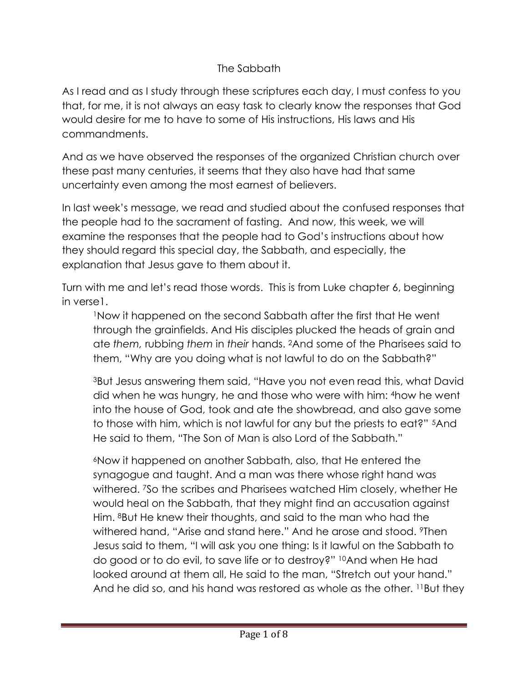## The Sabbath

As I read and as I study through these scriptures each day, I must confess to you that, for me, it is not always an easy task to clearly know the responses that God would desire for me to have to some of His instructions, His laws and His commandments.

And as we have observed the responses of the organized Christian church over these past many centuries, it seems that they also have had that same uncertainty even among the most earnest of believers.

In last week's message, we read and studied about the confused responses that the people had to the sacrament of fasting. And now, this week, we will examine the responses that the people had to God's instructions about how they should regard this special day, the Sabbath, and especially, the explanation that Jesus gave to them about it.

Turn with me and let's read those words. This is from Luke chapter 6, beginning in verse1.

<sup>1</sup>Now it happened on the second Sabbath after the first that He went through the grainfields. And His disciples plucked the heads of grain and ate *them,* rubbing *them* in *their* hands. <sup>2</sup>And some of the Pharisees said to them, "Why are you doing what is not lawful to do on the Sabbath?"

<sup>3</sup>But Jesus answering them said, "Have you not even read this, what David did when he was hungry, he and those who were with him: <sup>4</sup>how he went into the house of God, took and ate the showbread, and also gave some to those with him, which is not lawful for any but the priests to eat?" <sup>5</sup>And He said to them, "The Son of Man is also Lord of the Sabbath."

<sup>6</sup>Now it happened on another Sabbath, also, that He entered the synagogue and taught. And a man was there whose right hand was withered. <sup>7</sup>So the scribes and Pharisees watched Him closely, whether He would heal on the Sabbath, that they might find an accusation against Him. <sup>8</sup>But He knew their thoughts, and said to the man who had the withered hand, "Arise and stand here." And he arose and stood. *I* Then Jesus said to them, "I will ask you one thing: Is it lawful on the Sabbath to do good or to do evil, to save life or to destroy?" <sup>10</sup>And when He had looked around at them all, He said to the man, "Stretch out your hand." And he did so, and his hand was restored as whole as the other. <sup>11</sup>But they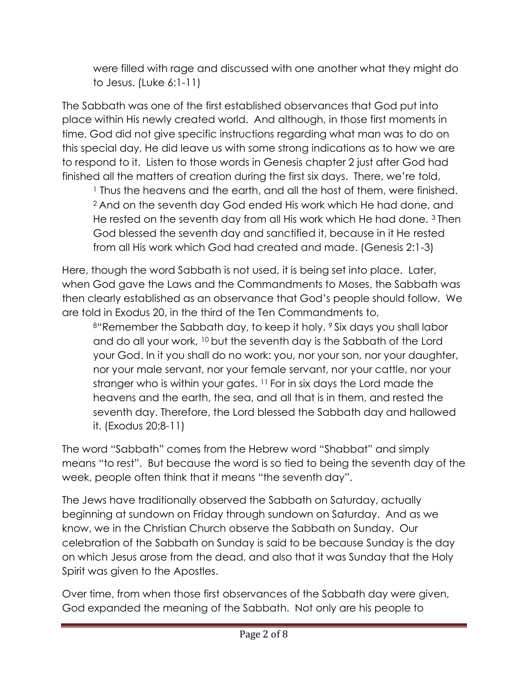were filled with rage and discussed with one another what they might do to Jesus. (Luke 6:1-11)

The Sabbath was one of the first established observances that God put into place within His newly created world. And although, in those first moments in time, God did not give specific instructions regarding what man was to do on this special day, He did leave us with some strong indications as to how we are to respond to it. Listen to those words in Genesis chapter 2 just after God had finished all the matters of creation during the first six days. There, we're told,

<sup>1</sup> Thus the heavens and the earth, and all the host of them, were finished. <sup>2</sup> And on the seventh day God ended His work which He had done, and He rested on the seventh day from all His work which He had done. <sup>3</sup> Then God blessed the seventh day and sanctified it, because in it He rested from all His work which God had created and made. (Genesis 2:1-3)

Here, though the word Sabbath is not used, it is being set into place. Later, when God gave the Laws and the Commandments to Moses, the Sabbath was then clearly established as an observance that God's people should follow. We are told in Exodus 20, in the third of the Ten Commandments to,

<sup>8"</sup>Remember the Sabbath day, to keep it holy. <sup>9</sup> Six days you shall labor and do all your work, <sup>10</sup> but the seventh day is the Sabbath of the Lord your God. In it you shall do no work: you, nor your son, nor your daughter, nor your male servant, nor your female servant, nor your cattle, nor your stranger who is within your gates. <sup>11</sup> For in six days the Lord made the heavens and the earth, the sea, and all that is in them, and rested the seventh day. Therefore, the Lord blessed the Sabbath day and hallowed it. (Exodus 20:8-11)

The word "Sabbath" comes from the Hebrew word "Shabbat" and simply means "to rest". But because the word is so tied to being the seventh day of the week, people often think that it means "the seventh day".

The Jews have traditionally observed the Sabbath on Saturday, actually beginning at sundown on Friday through sundown on Saturday. And as we know, we in the Christian Church observe the Sabbath on Sunday. Our celebration of the Sabbath on Sunday is said to be because Sunday is the day on which Jesus arose from the dead, and also that it was Sunday that the Holy Spirit was given to the Apostles.

Over time, from when those first observances of the Sabbath day were given, God expanded the meaning of the Sabbath. Not only are his people to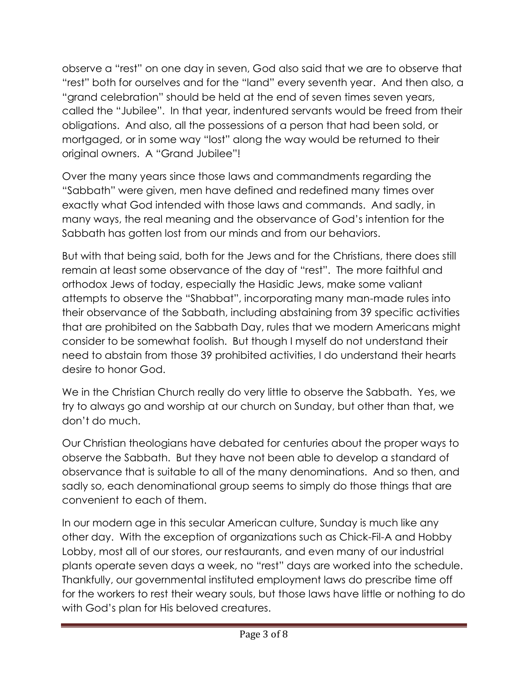observe a "rest" on one day in seven, God also said that we are to observe that "rest" both for ourselves and for the "land" every seventh year. And then also, a "grand celebration" should be held at the end of seven times seven years, called the "Jubilee". In that year, indentured servants would be freed from their obligations. And also, all the possessions of a person that had been sold, or mortgaged, or in some way "lost" along the way would be returned to their original owners. A "Grand Jubilee"!

Over the many years since those laws and commandments regarding the "Sabbath" were given, men have defined and redefined many times over exactly what God intended with those laws and commands. And sadly, in many ways, the real meaning and the observance of God's intention for the Sabbath has gotten lost from our minds and from our behaviors.

But with that being said, both for the Jews and for the Christians, there does still remain at least some observance of the day of "rest". The more faithful and orthodox Jews of today, especially the Hasidic Jews, make some valiant attempts to observe the "Shabbat", incorporating many man-made rules into their observance of the Sabbath, including abstaining from 39 specific activities that are prohibited on the Sabbath Day, rules that we modern Americans might consider to be somewhat foolish. But though I myself do not understand their need to abstain from those 39 prohibited activities, I do understand their hearts desire to honor God.

We in the Christian Church really do very little to observe the Sabbath. Yes, we try to always go and worship at our church on Sunday, but other than that, we don't do much.

Our Christian theologians have debated for centuries about the proper ways to observe the Sabbath. But they have not been able to develop a standard of observance that is suitable to all of the many denominations. And so then, and sadly so, each denominational group seems to simply do those things that are convenient to each of them.

In our modern age in this secular American culture, Sunday is much like any other day. With the exception of organizations such as Chick-Fil-A and Hobby Lobby, most all of our stores, our restaurants, and even many of our industrial plants operate seven days a week, no "rest" days are worked into the schedule. Thankfully, our governmental instituted employment laws do prescribe time off for the workers to rest their weary souls, but those laws have little or nothing to do with God's plan for His beloved creatures.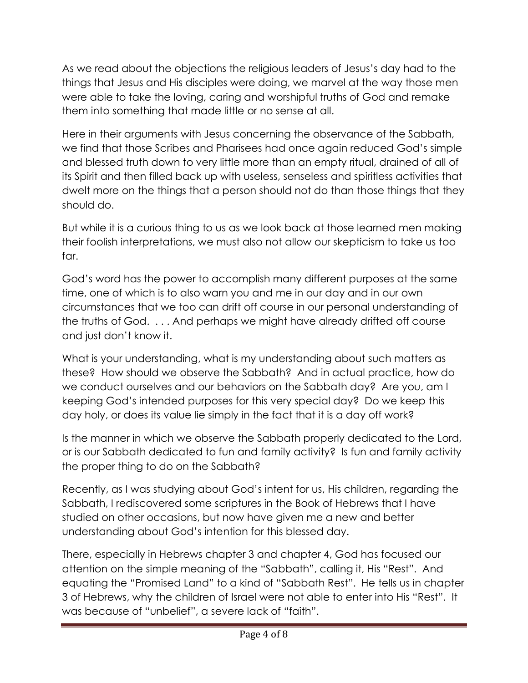As we read about the objections the religious leaders of Jesus's day had to the things that Jesus and His disciples were doing, we marvel at the way those men were able to take the loving, caring and worshipful truths of God and remake them into something that made little or no sense at all.

Here in their arguments with Jesus concerning the observance of the Sabbath, we find that those Scribes and Pharisees had once again reduced God's simple and blessed truth down to very little more than an empty ritual, drained of all of its Spirit and then filled back up with useless, senseless and spiritless activities that dwelt more on the things that a person should not do than those things that they should do.

But while it is a curious thing to us as we look back at those learned men making their foolish interpretations, we must also not allow our skepticism to take us too far.

God's word has the power to accomplish many different purposes at the same time, one of which is to also warn you and me in our day and in our own circumstances that we too can drift off course in our personal understanding of the truths of God. . . . And perhaps we might have already drifted off course and just don't know it.

What is your understanding, what is my understanding about such matters as these? How should we observe the Sabbath? And in actual practice, how do we conduct ourselves and our behaviors on the Sabbath day? Are you, am I keeping God's intended purposes for this very special day? Do we keep this day holy, or does its value lie simply in the fact that it is a day off work?

Is the manner in which we observe the Sabbath properly dedicated to the Lord, or is our Sabbath dedicated to fun and family activity? Is fun and family activity the proper thing to do on the Sabbath?

Recently, as I was studying about God's intent for us, His children, regarding the Sabbath, I rediscovered some scriptures in the Book of Hebrews that I have studied on other occasions, but now have given me a new and better understanding about God's intention for this blessed day.

There, especially in Hebrews chapter 3 and chapter 4, God has focused our attention on the simple meaning of the "Sabbath", calling it, His "Rest". And equating the "Promised Land" to a kind of "Sabbath Rest". He tells us in chapter 3 of Hebrews, why the children of Israel were not able to enter into His "Rest". It was because of "unbelief", a severe lack of "faith".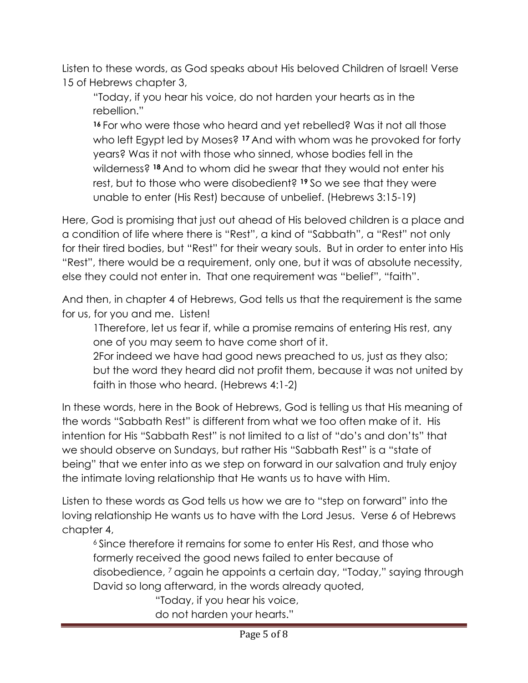Listen to these words, as God speaks about His beloved Children of Israel! Verse 15 of Hebrews chapter 3,

"Today, if you hear his voice, do not harden your hearts as in the rebellion."

**<sup>16</sup>** For who were those who heard and yet rebelled? Was it not all those who left Egypt led by Moses? **<sup>17</sup>** And with whom was he provoked for forty years? Was it not with those who sinned, whose bodies fell in the wilderness? **<sup>18</sup>** And to whom did he swear that they would not enter his rest, but to those who were disobedient? **<sup>19</sup>** So we see that they were unable to enter (His Rest) because of unbelief. (Hebrews 3:15-19)

Here, God is promising that just out ahead of His beloved children is a place and a condition of life where there is "Rest", a kind of "Sabbath", a "Rest" not only for their tired bodies, but "Rest" for their weary souls. But in order to enter into His "Rest", there would be a requirement, only one, but it was of absolute necessity, else they could not enter in. That one requirement was "belief", "faith".

And then, in chapter 4 of Hebrews, God tells us that the requirement is the same for us, for you and me. Listen!

1Therefore, let us fear if, while a promise remains of entering His rest, any one of you may seem to have come short of it.

2For indeed we have had good news preached to us, just as they also; but the word they heard did not profit them, because it was not united by faith in those who heard. (Hebrews 4:1-2)

In these words, here in the Book of Hebrews, God is telling us that His meaning of the words "Sabbath Rest" is different from what we too often make of it. His intention for His "Sabbath Rest" is not limited to a list of "do's and don'ts" that we should observe on Sundays, but rather His "Sabbath Rest" is a "state of being" that we enter into as we step on forward in our salvation and truly enjoy the intimate loving relationship that He wants us to have with Him.

Listen to these words as God tells us how we are to "step on forward" into the loving relationship He wants us to have with the Lord Jesus. Verse 6 of Hebrews chapter 4,

<sup>6</sup> Since therefore it remains for some to enter His Rest, and those who formerly received the good news failed to enter because of disobedience, <sup>7</sup> again he appoints a certain day, "Today," saying through David so long afterward, in the words already quoted,

"Today, if you hear his voice, do not harden your hearts."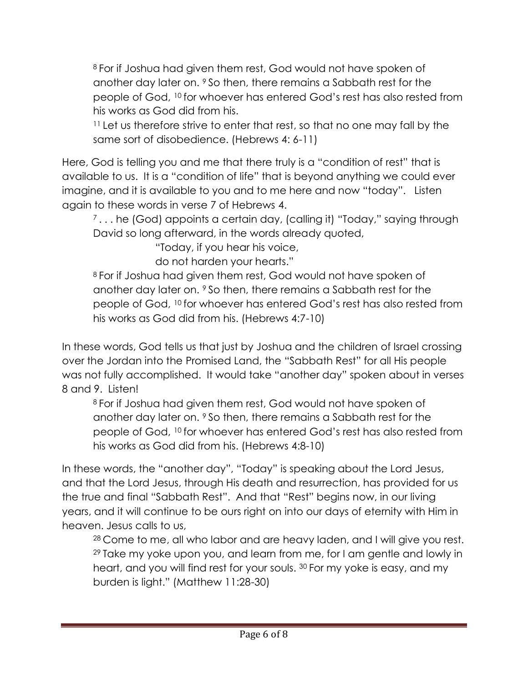<sup>8</sup> For if Joshua had given them rest, God would not have spoken of another day later on. <sup>9</sup> So then, there remains a Sabbath rest for the people of God, <sup>10</sup> for whoever has entered God's rest has also rested from his works as God did from his.

<sup>11</sup> Let us therefore strive to enter that rest, so that no one may fall by the same sort of disobedience. (Hebrews 4: 6-11)

Here, God is telling you and me that there truly is a "condition of rest" that is available to us. It is a "condition of life" that is beyond anything we could ever imagine, and it is available to you and to me here and now "today". Listen again to these words in verse 7 of Hebrews 4.

<sup>7</sup>... he (God) appoints a certain day, (calling it) "Today," saying through David so long afterward, in the words already quoted,

"Today, if you hear his voice,

do not harden your hearts."

<sup>8</sup> For if Joshua had given them rest, God would not have spoken of another day later on. <sup>9</sup> So then, there remains a Sabbath rest for the people of God, <sup>10</sup> for whoever has entered God's rest has also rested from his works as God did from his. (Hebrews 4:7-10)

In these words, God tells us that just by Joshua and the children of Israel crossing over the Jordan into the Promised Land, the "Sabbath Rest" for all His people was not fully accomplished. It would take "another day" spoken about in verses 8 and 9. Listen!

<sup>8</sup> For if Joshua had given them rest, God would not have spoken of another day later on. <sup>9</sup> So then, there remains a Sabbath rest for the people of God, <sup>10</sup> for whoever has entered God's rest has also rested from his works as God did from his. (Hebrews 4:8-10)

In these words, the "another day", "Today" is speaking about the Lord Jesus, and that the Lord Jesus, through His death and resurrection, has provided for us the true and final "Sabbath Rest". And that "Rest" begins now, in our living years, and it will continue to be ours right on into our days of eternity with Him in heaven. Jesus calls to us,

<sup>28</sup> Come to me, all who labor and are heavy laden, and I will give you rest. <sup>29</sup> Take my yoke upon you, and learn from me, for I am gentle and lowly in heart, and you will find rest for your souls. <sup>30</sup> For my yoke is easy, and my burden is light." (Matthew 11:28-30)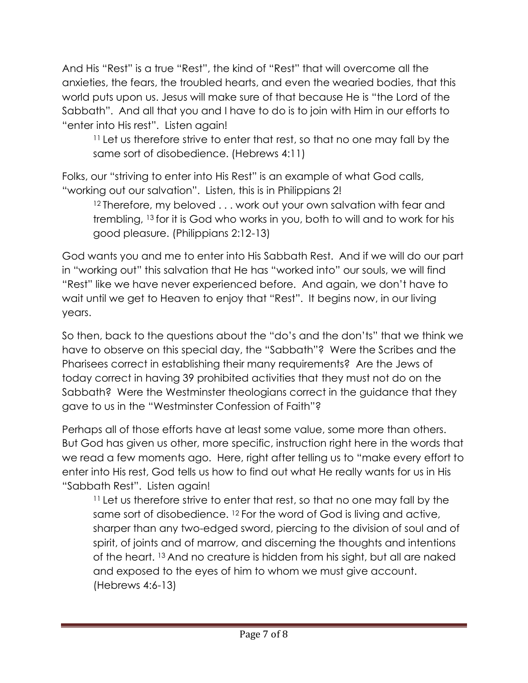And His "Rest" is a true "Rest", the kind of "Rest" that will overcome all the anxieties, the fears, the troubled hearts, and even the wearied bodies, that this world puts upon us. Jesus will make sure of that because He is "the Lord of the Sabbath". And all that you and I have to do is to join with Him in our efforts to "enter into His rest". Listen again!

<sup>11</sup> Let us therefore strive to enter that rest, so that no one may fall by the same sort of disobedience. (Hebrews 4:11)

Folks, our "striving to enter into His Rest" is an example of what God calls, "working out our salvation". Listen, this is in Philippians 2!

<sup>12</sup> Therefore, my beloved . . . work out your own salvation with fear and trembling, <sup>13</sup> for it is God who works in you, both to will and to work for his good pleasure. (Philippians 2:12-13)

God wants you and me to enter into His Sabbath Rest. And if we will do our part in "working out" this salvation that He has "worked into" our souls, we will find "Rest" like we have never experienced before. And again, we don't have to wait until we get to Heaven to enjoy that "Rest". It begins now, in our living years.

So then, back to the questions about the "do's and the don'ts" that we think we have to observe on this special day, the "Sabbath"? Were the Scribes and the Pharisees correct in establishing their many requirements? Are the Jews of today correct in having 39 prohibited activities that they must not do on the Sabbath? Were the Westminster theologians correct in the guidance that they gave to us in the "Westminster Confession of Faith"?

Perhaps all of those efforts have at least some value, some more than others. But God has given us other, more specific, instruction right here in the words that we read a few moments ago. Here, right after telling us to "make every effort to enter into His rest, God tells us how to find out what He really wants for us in His "Sabbath Rest". Listen again!

<sup>11</sup> Let us therefore strive to enter that rest, so that no one may fall by the same sort of disobedience. <sup>12</sup> For the word of God is living and active, sharper than any two-edged sword, piercing to the division of soul and of spirit, of joints and of marrow, and discerning the thoughts and intentions of the heart. <sup>13</sup> And no creature is hidden from his sight, but all are naked and exposed to the eyes of him to whom we must give account. (Hebrews 4:6-13)